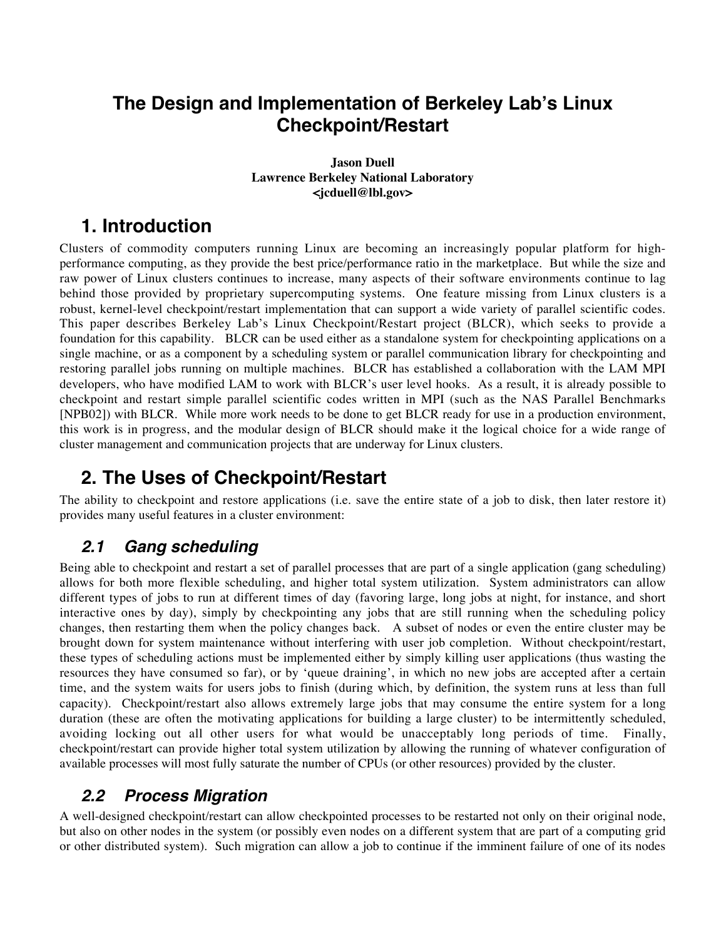# **The Design and Implementation of Berkeley Lab's Linux Checkpoint/Restart**

#### **Jason Duell Lawrence Berkeley National Laboratory <jcduell@lbl.gov>**

# **1. Introduction**

Clusters of commodity computers running Linux are becoming an increasingly popular platform for highperformance computing, as they provide the best price/performance ratio in the marketplace. But while the size and raw power of Linux clusters continues to increase, many aspects of their software environments continue to lag behind those provided by proprietary supercomputing systems. One feature missing from Linux clusters is a robust, kernel-level checkpoint/restart implementation that can support a wide variety of parallel scientific codes. This paper describes Berkeley Lab's Linux Checkpoint/Restart project (BLCR), which seeks to provide a foundation for this capability. BLCR can be used either as a standalone system for checkpointing applications on a single machine, or as a component by a scheduling system or parallel communication library for checkpointing and restoring parallel jobs running on multiple machines. BLCR has established a collaboration with the LAM MPI developers, who have modified LAM to work with BLCR's user level hooks. As a result, it is already possible to checkpoint and restart simple parallel scientific codes written in MPI (such as the NAS Parallel Benchmarks [NPB02]) with BLCR. While more work needs to be done to get BLCR ready for use in a production environment, this work is in progress, and the modular design of BLCR should make it the logical choice for a wide range of cluster management and communication projects that are underway for Linux clusters.

# **2. The Uses of Checkpoint/Restart**

The ability to checkpoint and restore applications (i.e. save the entire state of a job to disk, then later restore it) provides many useful features in a cluster environment:

### **2.1 Gang scheduling**

Being able to checkpoint and restart a set of parallel processes that are part of a single application (gang scheduling) allows for both more flexible scheduling, and higher total system utilization. System administrators can allow different types of jobs to run at different times of day (favoring large, long jobs at night, for instance, and short interactive ones by day), simply by checkpointing any jobs that are still running when the scheduling policy changes, then restarting them when the policy changes back. A subset of nodes or even the entire cluster may be brought down for system maintenance without interfering with user job completion. Without checkpoint/restart, these types of scheduling actions must be implemented either by simply killing user applications (thus wasting the resources they have consumed so far), or by 'queue draining', in which no new jobs are accepted after a certain time, and the system waits for users jobs to finish (during which, by definition, the system runs at less than full capacity). Checkpoint/restart also allows extremely large jobs that may consume the entire system for a long duration (these are often the motivating applications for building a large cluster) to be intermittently scheduled, avoiding locking out all other users for what would be unacceptably long periods of time. Finally, checkpoint/restart can provide higher total system utilization by allowing the running of whatever configuration of available processes will most fully saturate the number of CPUs (or other resources) provided by the cluster.

## **2.2 Process Migration**

A well-designed checkpoint/restart can allow checkpointed processes to be restarted not only on their original node, but also on other nodes in the system (or possibly even nodes on a different system that are part of a computing grid or other distributed system). Such migration can allow a job to continue if the imminent failure of one of its nodes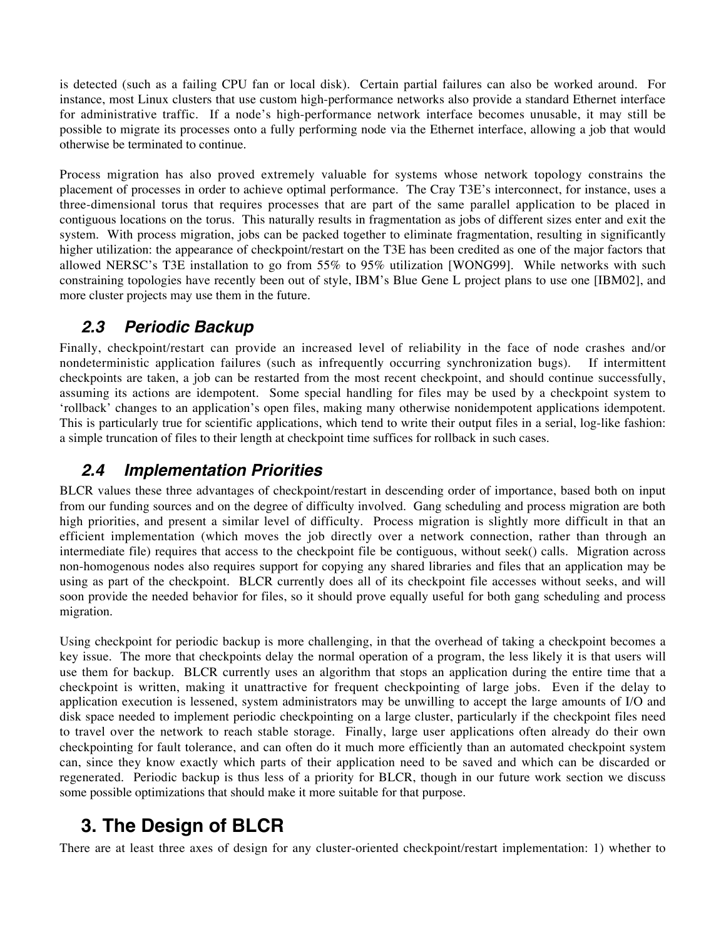is detected (such as a failing CPU fan or local disk). Certain partial failures can also be worked around. For instance, most Linux clusters that use custom high-performance networks also provide a standard Ethernet interface for administrative traffic. If a node's high-performance network interface becomes unusable, it may still be possible to migrate its processes onto a fully performing node via the Ethernet interface, allowing a job that would otherwise be terminated to continue.

Process migration has also proved extremely valuable for systems whose network topology constrains the placement of processes in order to achieve optimal performance. The Cray T3E's interconnect, for instance, uses a three-dimensional torus that requires processes that are part of the same parallel application to be placed in contiguous locations on the torus. This naturally results in fragmentation as jobs of different sizes enter and exit the system. With process migration, jobs can be packed together to eliminate fragmentation, resulting in significantly higher utilization: the appearance of checkpoint/restart on the T3E has been credited as one of the major factors that allowed NERSC's T3E installation to go from 55% to 95% utilization [WONG99]. While networks with such constraining topologies have recently been out of style, IBM's Blue Gene L project plans to use one [IBM02], and more cluster projects may use them in the future.

### **2.3 Periodic Backup**

Finally, checkpoint/restart can provide an increased level of reliability in the face of node crashes and/or nondeterministic application failures (such as infrequently occurring synchronization bugs). If intermittent checkpoints are taken, a job can be restarted from the most recent checkpoint, and should continue successfully, assuming its actions are idempotent. Some special handling for files may be used by a checkpoint system to 'rollback' changes to an application's open files, making many otherwise nonidempotent applications idempotent. This is particularly true for scientific applications, which tend to write their output files in a serial, log-like fashion: a simple truncation of files to their length at checkpoint time suffices for rollback in such cases.

### **2.4 Implementation Priorities**

BLCR values these three advantages of checkpoint/restart in descending order of importance, based both on input from our funding sources and on the degree of difficulty involved. Gang scheduling and process migration are both high priorities, and present a similar level of difficulty. Process migration is slightly more difficult in that an efficient implementation (which moves the job directly over a network connection, rather than through an intermediate file) requires that access to the checkpoint file be contiguous, without seek() calls. Migration across non-homogenous nodes also requires support for copying any shared libraries and files that an application may be using as part of the checkpoint. BLCR currently does all of its checkpoint file accesses without seeks, and will soon provide the needed behavior for files, so it should prove equally useful for both gang scheduling and process migration.

Using checkpoint for periodic backup is more challenging, in that the overhead of taking a checkpoint becomes a key issue. The more that checkpoints delay the normal operation of a program, the less likely it is that users will use them for backup. BLCR currently uses an algorithm that stops an application during the entire time that a checkpoint is written, making it unattractive for frequent checkpointing of large jobs. Even if the delay to application execution is lessened, system administrators may be unwilling to accept the large amounts of I/O and disk space needed to implement periodic checkpointing on a large cluster, particularly if the checkpoint files need to travel over the network to reach stable storage. Finally, large user applications often already do their own checkpointing for fault tolerance, and can often do it much more efficiently than an automated checkpoint system can, since they know exactly which parts of their application need to be saved and which can be discarded or regenerated. Periodic backup is thus less of a priority for BLCR, though in our future work section we discuss some possible optimizations that should make it more suitable for that purpose.

# **3. The Design of BLCR**

There are at least three axes of design for any cluster-oriented checkpoint/restart implementation: 1) whether to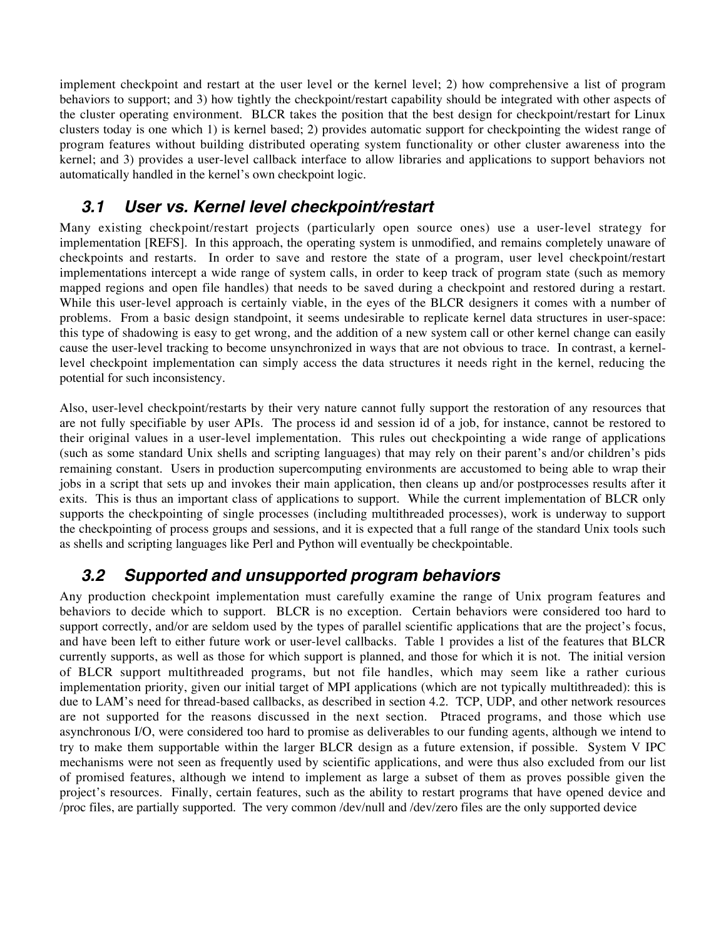implement checkpoint and restart at the user level or the kernel level; 2) how comprehensive a list of program behaviors to support; and 3) how tightly the checkpoint/restart capability should be integrated with other aspects of the cluster operating environment. BLCR takes the position that the best design for checkpoint/restart for Linux clusters today is one which 1) is kernel based; 2) provides automatic support for checkpointing the widest range of program features without building distributed operating system functionality or other cluster awareness into the kernel; and 3) provides a user-level callback interface to allow libraries and applications to support behaviors not automatically handled in the kernel's own checkpoint logic.

### **3.1 User vs. Kernel level checkpoint/restart**

Many existing checkpoint/restart projects (particularly open source ones) use a user-level strategy for implementation [REFS]. In this approach, the operating system is unmodified, and remains completely unaware of checkpoints and restarts. In order to save and restore the state of a program, user level checkpoint/restart implementations intercept a wide range of system calls, in order to keep track of program state (such as memory mapped regions and open file handles) that needs to be saved during a checkpoint and restored during a restart. While this user-level approach is certainly viable, in the eyes of the BLCR designers it comes with a number of problems. From a basic design standpoint, it seems undesirable to replicate kernel data structures in user-space: this type of shadowing is easy to get wrong, and the addition of a new system call or other kernel change can easily cause the user-level tracking to become unsynchronized in ways that are not obvious to trace. In contrast, a kernellevel checkpoint implementation can simply access the data structures it needs right in the kernel, reducing the potential for such inconsistency.

Also, user-level checkpoint/restarts by their very nature cannot fully support the restoration of any resources that are not fully specifiable by user APIs. The process id and session id of a job, for instance, cannot be restored to their original values in a user-level implementation. This rules out checkpointing a wide range of applications (such as some standard Unix shells and scripting languages) that may rely on their parent's and/or children's pids remaining constant. Users in production supercomputing environments are accustomed to being able to wrap their jobs in a script that sets up and invokes their main application, then cleans up and/or postprocesses results after it exits. This is thus an important class of applications to support. While the current implementation of BLCR only supports the checkpointing of single processes (including multithreaded processes), work is underway to support the checkpointing of process groups and sessions, and it is expected that a full range of the standard Unix tools such as shells and scripting languages like Perl and Python will eventually be checkpointable.

#### **3.2 Supported and unsupported program behaviors**

Any production checkpoint implementation must carefully examine the range of Unix program features and behaviors to decide which to support. BLCR is no exception. Certain behaviors were considered too hard to support correctly, and/or are seldom used by the types of parallel scientific applications that are the project's focus, and have been left to either future work or user-level callbacks. Table 1 provides a list of the features that BLCR currently supports, as well as those for which support is planned, and those for which it is not. The initial version of BLCR support multithreaded programs, but not file handles, which may seem like a rather curious implementation priority, given our initial target of MPI applications (which are not typically multithreaded): this is due to LAM's need for thread-based callbacks, as described in section 4.2. TCP, UDP, and other network resources are not supported for the reasons discussed in the next section. Ptraced programs, and those which use asynchronous I/O, were considered too hard to promise as deliverables to our funding agents, although we intend to try to make them supportable within the larger BLCR design as a future extension, if possible. System V IPC mechanisms were not seen as frequently used by scientific applications, and were thus also excluded from our list of promised features, although we intend to implement as large a subset of them as proves possible given the project's resources. Finally, certain features, such as the ability to restart programs that have opened device and /proc files, are partially supported. The very common /dev/null and /dev/zero files are the only supported device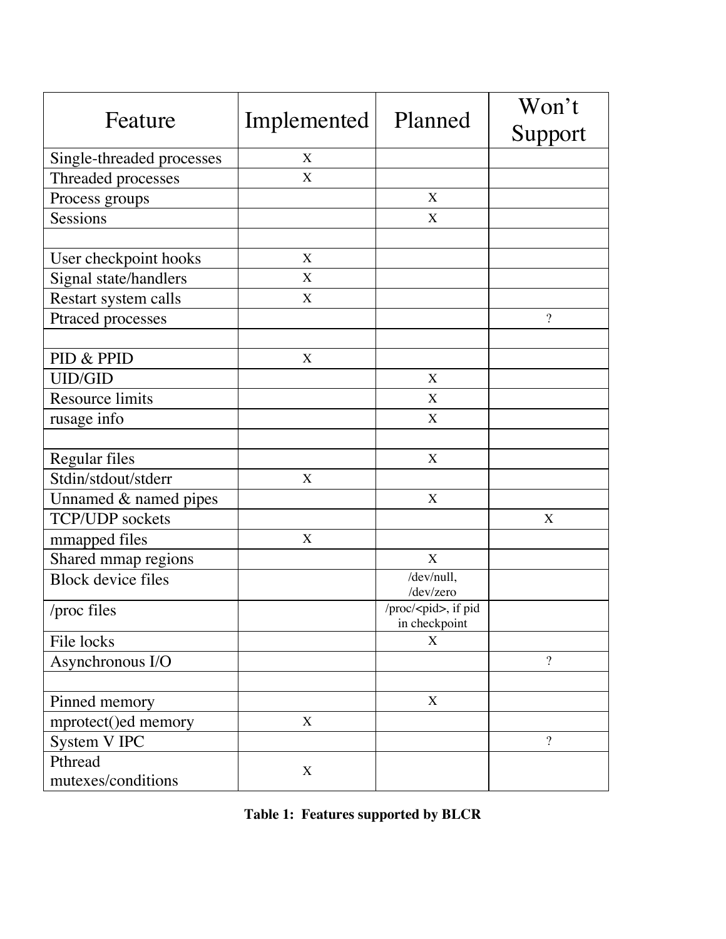| Feature                       | Implemented      | Planned                                      | Won't          |
|-------------------------------|------------------|----------------------------------------------|----------------|
|                               |                  |                                              | Support        |
| Single-threaded processes     | X                |                                              |                |
| Threaded processes            | X                |                                              |                |
| Process groups                |                  | X                                            |                |
| Sessions                      |                  | X                                            |                |
|                               |                  |                                              |                |
| User checkpoint hooks         | X                |                                              |                |
| Signal state/handlers         | X                |                                              |                |
| Restart system calls          | X                |                                              |                |
| Ptraced processes             |                  |                                              | $\overline{?}$ |
|                               |                  |                                              |                |
| PID & PPID                    | $\boldsymbol{X}$ |                                              |                |
| <b>UID/GID</b>                |                  | X                                            |                |
| <b>Resource limits</b>        |                  | X                                            |                |
| rusage info                   |                  | X                                            |                |
|                               |                  |                                              |                |
| Regular files                 |                  | X                                            |                |
| Stdin/stdout/stderr           | X                |                                              |                |
| Unnamed & named pipes         |                  | X                                            |                |
| TCP/UDP sockets               |                  |                                              | X              |
| mmapped files                 | $\mathbf X$      |                                              |                |
| Shared mmap regions           |                  | X                                            |                |
| <b>Block device files</b>     |                  | /dev/null,<br>/dev/zero                      |                |
| /proc files                   |                  | /proc/ <pid>, if pid<br/>in checkpoint</pid> |                |
| File locks                    |                  | X                                            |                |
| Asynchronous I/O              |                  |                                              | $\overline{?}$ |
|                               |                  |                                              |                |
| Pinned memory                 |                  | X                                            |                |
| mprotect()ed memory           | $\mathbf X$      |                                              |                |
| System V IPC                  |                  |                                              | $\overline{?}$ |
| Pthread<br>mutexes/conditions | X                |                                              |                |

| Table 1: Features supported by BLCR |  |  |  |  |
|-------------------------------------|--|--|--|--|
|-------------------------------------|--|--|--|--|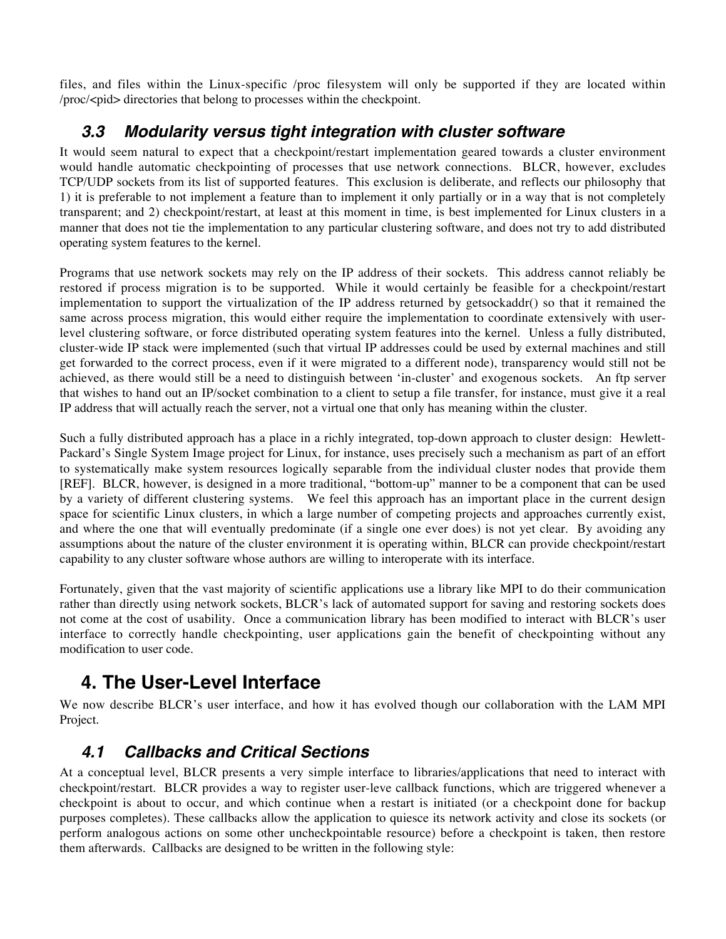files, and files within the Linux-specific /proc filesystem will only be supported if they are located within /proc/<pid> directories that belong to processes within the checkpoint.

### **3.3 Modularity versus tight integration with cluster software**

It would seem natural to expect that a checkpoint/restart implementation geared towards a cluster environment would handle automatic checkpointing of processes that use network connections. BLCR, however, excludes TCP/UDP sockets from its list of supported features. This exclusion is deliberate, and reflects our philosophy that 1) it is preferable to not implement a feature than to implement it only partially or in a way that is not completely transparent; and 2) checkpoint/restart, at least at this moment in time, is best implemented for Linux clusters in a manner that does not tie the implementation to any particular clustering software, and does not try to add distributed operating system features to the kernel.

Programs that use network sockets may rely on the IP address of their sockets. This address cannot reliably be restored if process migration is to be supported. While it would certainly be feasible for a checkpoint/restart implementation to support the virtualization of the IP address returned by getsockaddr() so that it remained the same across process migration, this would either require the implementation to coordinate extensively with userlevel clustering software, or force distributed operating system features into the kernel. Unless a fully distributed, cluster-wide IP stack were implemented (such that virtual IP addresses could be used by external machines and still get forwarded to the correct process, even if it were migrated to a different node), transparency would still not be achieved, as there would still be a need to distinguish between 'in-cluster' and exogenous sockets. An ftp server that wishes to hand out an IP/socket combination to a client to setup a file transfer, for instance, must give it a real IP address that will actually reach the server, not a virtual one that only has meaning within the cluster.

Such a fully distributed approach has a place in a richly integrated, top-down approach to cluster design: Hewlett-Packard's Single System Image project for Linux, for instance, uses precisely such a mechanism as part of an effort to systematically make system resources logically separable from the individual cluster nodes that provide them [REF]. BLCR, however, is designed in a more traditional, "bottom-up" manner to be a component that can be used by a variety of different clustering systems. We feel this approach has an important place in the current design space for scientific Linux clusters, in which a large number of competing projects and approaches currently exist, and where the one that will eventually predominate (if a single one ever does) is not yet clear. By avoiding any assumptions about the nature of the cluster environment it is operating within, BLCR can provide checkpoint/restart capability to any cluster software whose authors are willing to interoperate with its interface.

Fortunately, given that the vast majority of scientific applications use a library like MPI to do their communication rather than directly using network sockets, BLCR's lack of automated support for saving and restoring sockets does not come at the cost of usability. Once a communication library has been modified to interact with BLCR's user interface to correctly handle checkpointing, user applications gain the benefit of checkpointing without any modification to user code.

# **4. The User-Level Interface**

We now describe BLCR's user interface, and how it has evolved though our collaboration with the LAM MPI Project.

## **4.1 Callbacks and Critical Sections**

At a conceptual level, BLCR presents a very simple interface to libraries/applications that need to interact with checkpoint/restart. BLCR provides a way to register user-leve callback functions, which are triggered whenever a checkpoint is about to occur, and which continue when a restart is initiated (or a checkpoint done for backup purposes completes). These callbacks allow the application to quiesce its network activity and close its sockets (or perform analogous actions on some other uncheckpointable resource) before a checkpoint is taken, then restore them afterwards. Callbacks are designed to be written in the following style: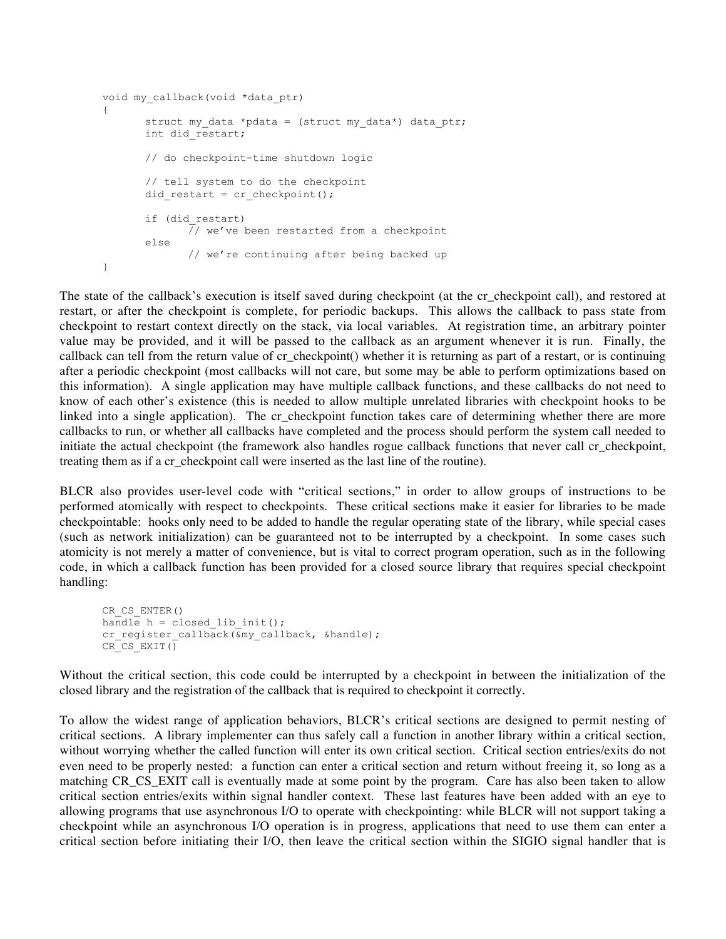```
void my_callback(void *data_ptr)
{
      struct my data *pdata = (struct my_data*) data_ptr;
      int did restart;
      // do checkpoint-time shutdown logic
       // tell system to do the checkpoint
      did restart = cr checkpoint();
       if (did_restart)
             // we've been restarted from a checkpoint
      else
             // we're continuing after being backed up
}
```
The state of the callback's execution is itself saved during checkpoint (at the cr\_checkpoint call), and restored at restart, or after the checkpoint is complete, for periodic backups. This allows the callback to pass state from checkpoint to restart context directly on the stack, via local variables. At registration time, an arbitrary pointer value may be provided, and it will be passed to the callback as an argument whenever it is run. Finally, the callback can tell from the return value of cr\_checkpoint() whether it is returning as part of a restart, or is continuing after a periodic checkpoint (most callbacks will not care, but some may be able to perform optimizations based on this information). A single application may have multiple callback functions, and these callbacks do not need to know of each other's existence (this is needed to allow multiple unrelated libraries with checkpoint hooks to be linked into a single application). The cr\_checkpoint function takes care of determining whether there are more callbacks to run, or whether all callbacks have completed and the process should perform the system call needed to initiate the actual checkpoint (the framework also handles rogue callback functions that never call cr\_checkpoint, treating them as if a cr\_checkpoint call were inserted as the last line of the routine).

BLCR also provides user-level code with "critical sections," in order to allow groups of instructions to be performed atomically with respect to checkpoints. These critical sections make it easier for libraries to be made checkpointable: hooks only need to be added to handle the regular operating state of the library, while special cases (such as network initialization) can be guaranteed not to be interrupted by a checkpoint. In some cases such atomicity is not merely a matter of convenience, but is vital to correct program operation, such as in the following code, in which a callback function has been provided for a closed source library that requires special checkpoint handling:

```
CR_CS_ENTER()
handle h = closed lib init();
cr_register_callback(&my_callback, &handle);
CR_CS_EXIT()
```
Without the critical section, this code could be interrupted by a checkpoint in between the initialization of the closed library and the registration of the callback that is required to checkpoint it correctly.

To allow the widest range of application behaviors, BLCR's critical sections are designed to permit nesting of critical sections. A library implementer can thus safely call a function in another library within a critical section, without worrying whether the called function will enter its own critical section. Critical section entries/exits do not even need to be properly nested: a function can enter a critical section and return without freeing it, so long as a matching CR\_CS\_EXIT call is eventually made at some point by the program. Care has also been taken to allow critical section entries/exits within signal handler context. These last features have been added with an eye to allowing programs that use asynchronous I/O to operate with checkpointing: while BLCR will not support taking a checkpoint while an asynchronous I/O operation is in progress, applications that need to use them can enter a critical section before initiating their I/O, then leave the critical section within the SIGIO signal handler that is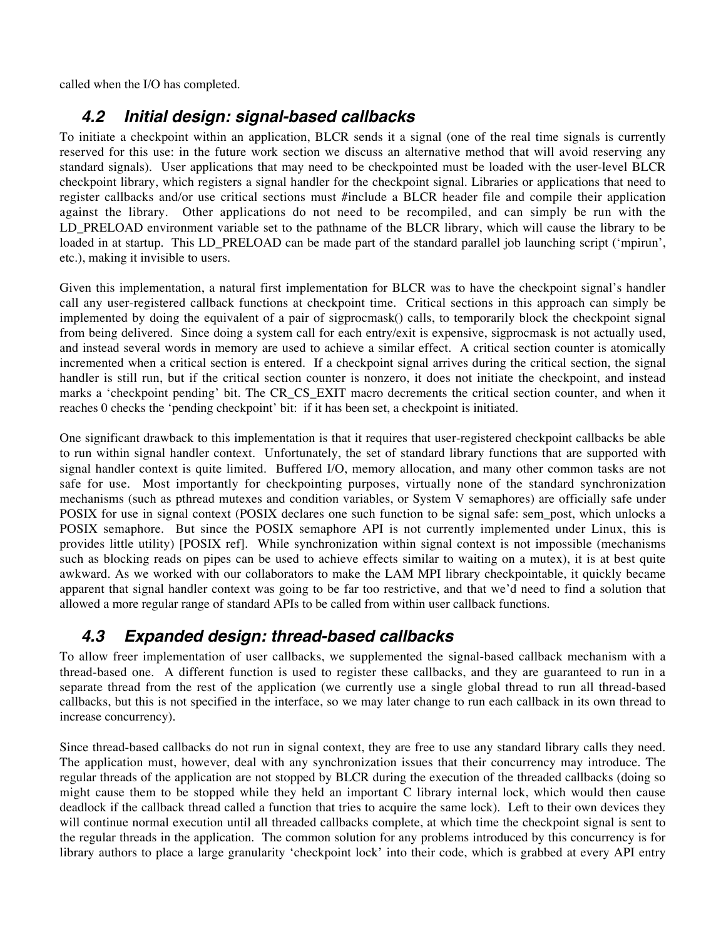called when the I/O has completed.

#### **4.2 Initial design: signal-based callbacks**

To initiate a checkpoint within an application, BLCR sends it a signal (one of the real time signals is currently reserved for this use: in the future work section we discuss an alternative method that will avoid reserving any standard signals). User applications that may need to be checkpointed must be loaded with the user-level BLCR checkpoint library, which registers a signal handler for the checkpoint signal. Libraries or applications that need to register callbacks and/or use critical sections must #include a BLCR header file and compile their application against the library. Other applications do not need to be recompiled, and can simply be run with the LD\_PRELOAD environment variable set to the pathname of the BLCR library, which will cause the library to be loaded in at startup. This LD\_PRELOAD can be made part of the standard parallel job launching script ('mpirun', etc.), making it invisible to users.

Given this implementation, a natural first implementation for BLCR was to have the checkpoint signal's handler call any user-registered callback functions at checkpoint time. Critical sections in this approach can simply be implemented by doing the equivalent of a pair of sigprocmask() calls, to temporarily block the checkpoint signal from being delivered. Since doing a system call for each entry/exit is expensive, sigprocmask is not actually used, and instead several words in memory are used to achieve a similar effect. A critical section counter is atomically incremented when a critical section is entered. If a checkpoint signal arrives during the critical section, the signal handler is still run, but if the critical section counter is nonzero, it does not initiate the checkpoint, and instead marks a 'checkpoint pending' bit. The CR\_CS\_EXIT macro decrements the critical section counter, and when it reaches 0 checks the 'pending checkpoint' bit: if it has been set, a checkpoint is initiated.

One significant drawback to this implementation is that it requires that user-registered checkpoint callbacks be able to run within signal handler context. Unfortunately, the set of standard library functions that are supported with signal handler context is quite limited. Buffered I/O, memory allocation, and many other common tasks are not safe for use. Most importantly for checkpointing purposes, virtually none of the standard synchronization mechanisms (such as pthread mutexes and condition variables, or System V semaphores) are officially safe under POSIX for use in signal context (POSIX declares one such function to be signal safe: sem\_post, which unlocks a POSIX semaphore. But since the POSIX semaphore API is not currently implemented under Linux, this is provides little utility) [POSIX ref]. While synchronization within signal context is not impossible (mechanisms such as blocking reads on pipes can be used to achieve effects similar to waiting on a mutex), it is at best quite awkward. As we worked with our collaborators to make the LAM MPI library checkpointable, it quickly became apparent that signal handler context was going to be far too restrictive, and that we'd need to find a solution that allowed a more regular range of standard APIs to be called from within user callback functions.

#### **4.3 Expanded design: thread-based callbacks**

To allow freer implementation of user callbacks, we supplemented the signal-based callback mechanism with a thread-based one. A different function is used to register these callbacks, and they are guaranteed to run in a separate thread from the rest of the application (we currently use a single global thread to run all thread-based callbacks, but this is not specified in the interface, so we may later change to run each callback in its own thread to increase concurrency).

Since thread-based callbacks do not run in signal context, they are free to use any standard library calls they need. The application must, however, deal with any synchronization issues that their concurrency may introduce. The regular threads of the application are not stopped by BLCR during the execution of the threaded callbacks (doing so might cause them to be stopped while they held an important C library internal lock, which would then cause deadlock if the callback thread called a function that tries to acquire the same lock). Left to their own devices they will continue normal execution until all threaded callbacks complete, at which time the checkpoint signal is sent to the regular threads in the application. The common solution for any problems introduced by this concurrency is for library authors to place a large granularity 'checkpoint lock' into their code, which is grabbed at every API entry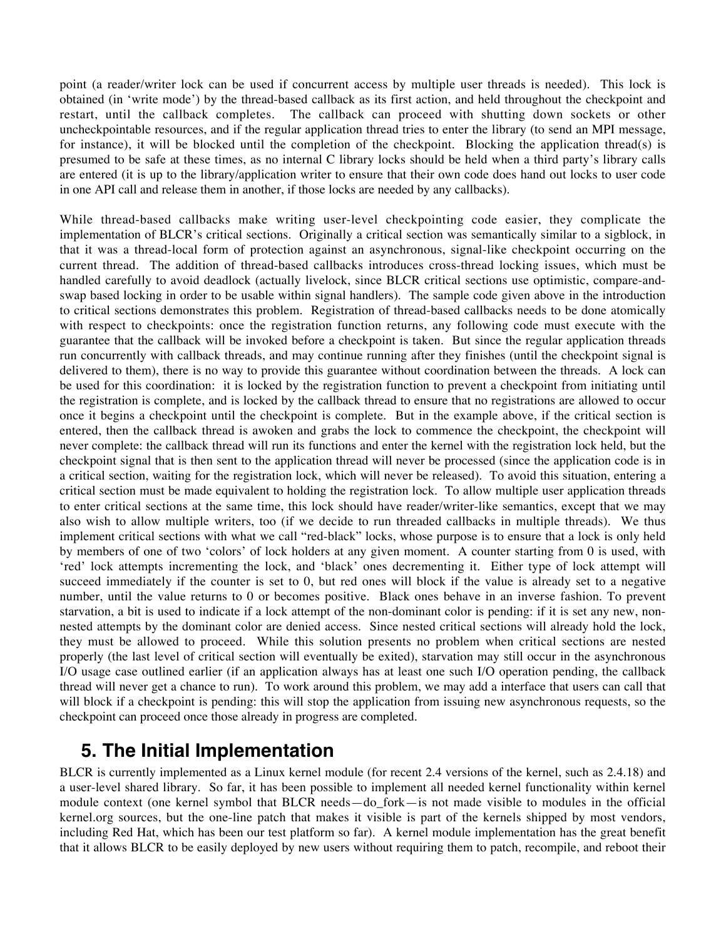point (a reader/writer lock can be used if concurrent access by multiple user threads is needed). This lock is obtained (in 'write mode') by the thread-based callback as its first action, and held throughout the checkpoint and restart, until the callback completes. The callback can proceed with shutting down sockets or other uncheckpointable resources, and if the regular application thread tries to enter the library (to send an MPI message, for instance), it will be blocked until the completion of the checkpoint. Blocking the application thread(s) is presumed to be safe at these times, as no internal C library locks should be held when a third party's library calls are entered (it is up to the library/application writer to ensure that their own code does hand out locks to user code in one API call and release them in another, if those locks are needed by any callbacks).

While thread-based callbacks make writing user-level checkpointing code easier, they complicate the implementation of BLCR's critical sections. Originally a critical section was semantically similar to a sigblock, in that it was a thread-local form of protection against an asynchronous, signal-like checkpoint occurring on the current thread. The addition of thread-based callbacks introduces cross-thread locking issues, which must be handled carefully to avoid deadlock (actually livelock, since BLCR critical sections use optimistic, compare-andswap based locking in order to be usable within signal handlers). The sample code given above in the introduction to critical sections demonstrates this problem. Registration of thread-based callbacks needs to be done atomically with respect to checkpoints: once the registration function returns, any following code must execute with the guarantee that the callback will be invoked before a checkpoint is taken. But since the regular application threads run concurrently with callback threads, and may continue running after they finishes (until the checkpoint signal is delivered to them), there is no way to provide this guarantee without coordination between the threads. A lock can be used for this coordination: it is locked by the registration function to prevent a checkpoint from initiating until the registration is complete, and is locked by the callback thread to ensure that no registrations are allowed to occur once it begins a checkpoint until the checkpoint is complete. But in the example above, if the critical section is entered, then the callback thread is awoken and grabs the lock to commence the checkpoint, the checkpoint will never complete: the callback thread will run its functions and enter the kernel with the registration lock held, but the checkpoint signal that is then sent to the application thread will never be processed (since the application code is in a critical section, waiting for the registration lock, which will never be released). To avoid this situation, entering a critical section must be made equivalent to holding the registration lock. To allow multiple user application threads to enter critical sections at the same time, this lock should have reader/writer-like semantics, except that we may also wish to allow multiple writers, too (if we decide to run threaded callbacks in multiple threads). We thus implement critical sections with what we call "red-black" locks, whose purpose is to ensure that a lock is only held by members of one of two 'colors' of lock holders at any given moment. A counter starting from 0 is used, with 'red' lock attempts incrementing the lock, and 'black' ones decrementing it. Either type of lock attempt will succeed immediately if the counter is set to 0, but red ones will block if the value is already set to a negative number, until the value returns to 0 or becomes positive. Black ones behave in an inverse fashion. To prevent starvation, a bit is used to indicate if a lock attempt of the non-dominant color is pending: if it is set any new, nonnested attempts by the dominant color are denied access. Since nested critical sections will already hold the lock, they must be allowed to proceed. While this solution presents no problem when critical sections are nested properly (the last level of critical section will eventually be exited), starvation may still occur in the asynchronous I/O usage case outlined earlier (if an application always has at least one such I/O operation pending, the callback thread will never get a chance to run). To work around this problem, we may add a interface that users can call that will block if a checkpoint is pending: this will stop the application from issuing new asynchronous requests, so the checkpoint can proceed once those already in progress are completed.

## **5. The Initial Implementation**

BLCR is currently implemented as a Linux kernel module (for recent 2.4 versions of the kernel, such as 2.4.18) and a user-level shared library. So far, it has been possible to implement all needed kernel functionality within kernel module context (one kernel symbol that BLCR needs—do\_fork—is not made visible to modules in the official kernel.org sources, but the one-line patch that makes it visible is part of the kernels shipped by most vendors, including Red Hat, which has been our test platform so far). A kernel module implementation has the great benefit that it allows BLCR to be easily deployed by new users without requiring them to patch, recompile, and reboot their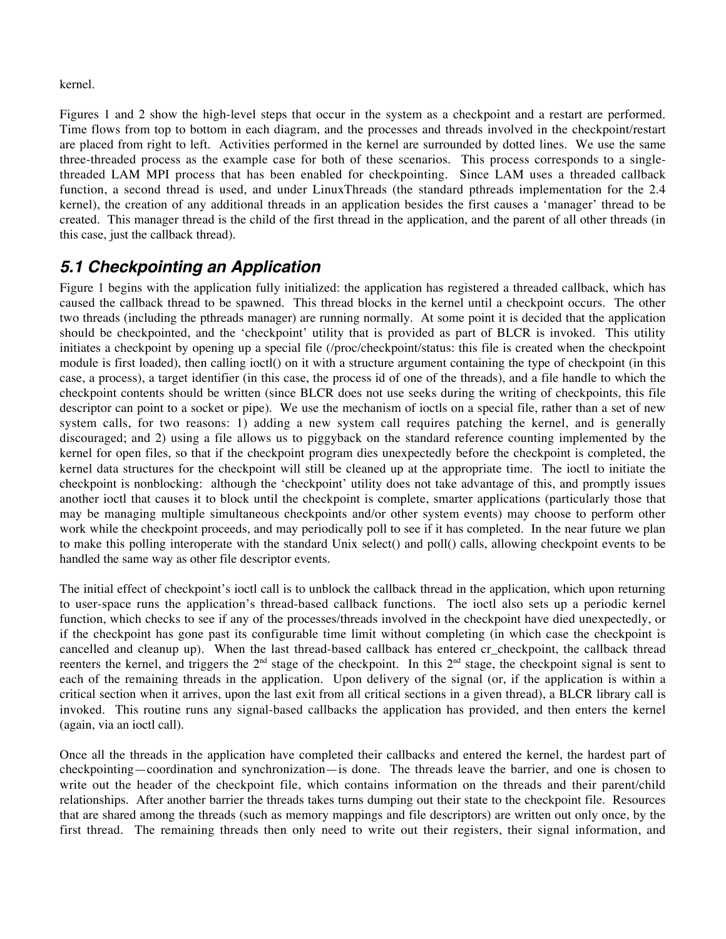#### kernel.

Figures 1 and 2 show the high-level steps that occur in the system as a checkpoint and a restart are performed. Time flows from top to bottom in each diagram, and the processes and threads involved in the checkpoint/restart are placed from right to left. Activities performed in the kernel are surrounded by dotted lines. We use the same three-threaded process as the example case for both of these scenarios. This process corresponds to a singlethreaded LAM MPI process that has been enabled for checkpointing. Since LAM uses a threaded callback function, a second thread is used, and under LinuxThreads (the standard pthreads implementation for the 2.4 kernel), the creation of any additional threads in an application besides the first causes a 'manager' thread to be created. This manager thread is the child of the first thread in the application, and the parent of all other threads (in this case, just the callback thread).

#### **5.1 Checkpointing an Application**

Figure 1 begins with the application fully initialized: the application has registered a threaded callback, which has caused the callback thread to be spawned. This thread blocks in the kernel until a checkpoint occurs. The other two threads (including the pthreads manager) are running normally. At some point it is decided that the application should be checkpointed, and the 'checkpoint' utility that is provided as part of BLCR is invoked. This utility initiates a checkpoint by opening up a special file (/proc/checkpoint/status: this file is created when the checkpoint module is first loaded), then calling ioctl() on it with a structure argument containing the type of checkpoint (in this case, a process), a target identifier (in this case, the process id of one of the threads), and a file handle to which the checkpoint contents should be written (since BLCR does not use seeks during the writing of checkpoints, this file descriptor can point to a socket or pipe). We use the mechanism of ioctls on a special file, rather than a set of new system calls, for two reasons: 1) adding a new system call requires patching the kernel, and is generally discouraged; and 2) using a file allows us to piggyback on the standard reference counting implemented by the kernel for open files, so that if the checkpoint program dies unexpectedly before the checkpoint is completed, the kernel data structures for the checkpoint will still be cleaned up at the appropriate time. The ioctl to initiate the checkpoint is nonblocking: although the 'checkpoint' utility does not take advantage of this, and promptly issues another ioctl that causes it to block until the checkpoint is complete, smarter applications (particularly those that may be managing multiple simultaneous checkpoints and/or other system events) may choose to perform other work while the checkpoint proceeds, and may periodically poll to see if it has completed. In the near future we plan to make this polling interoperate with the standard Unix select() and poll() calls, allowing checkpoint events to be handled the same way as other file descriptor events.

The initial effect of checkpoint's ioctl call is to unblock the callback thread in the application, which upon returning to user-space runs the application's thread-based callback functions. The ioctl also sets up a periodic kernel function, which checks to see if any of the processes/threads involved in the checkpoint have died unexpectedly, or if the checkpoint has gone past its configurable time limit without completing (in which case the checkpoint is cancelled and cleanup up). When the last thread-based callback has entered cr\_checkpoint, the callback thread reenters the kernel, and triggers the  $2<sup>nd</sup>$  stage of the checkpoint. In this  $2<sup>nd</sup>$  stage, the checkpoint signal is sent to each of the remaining threads in the application. Upon delivery of the signal (or, if the application is within a critical section when it arrives, upon the last exit from all critical sections in a given thread), a BLCR library call is invoked. This routine runs any signal-based callbacks the application has provided, and then enters the kernel (again, via an ioctl call).

Once all the threads in the application have completed their callbacks and entered the kernel, the hardest part of checkpointing—coordination and synchronization—is done. The threads leave the barrier, and one is chosen to write out the header of the checkpoint file, which contains information on the threads and their parent/child relationships. After another barrier the threads takes turns dumping out their state to the checkpoint file. Resources that are shared among the threads (such as memory mappings and file descriptors) are written out only once, by the first thread. The remaining threads then only need to write out their registers, their signal information, and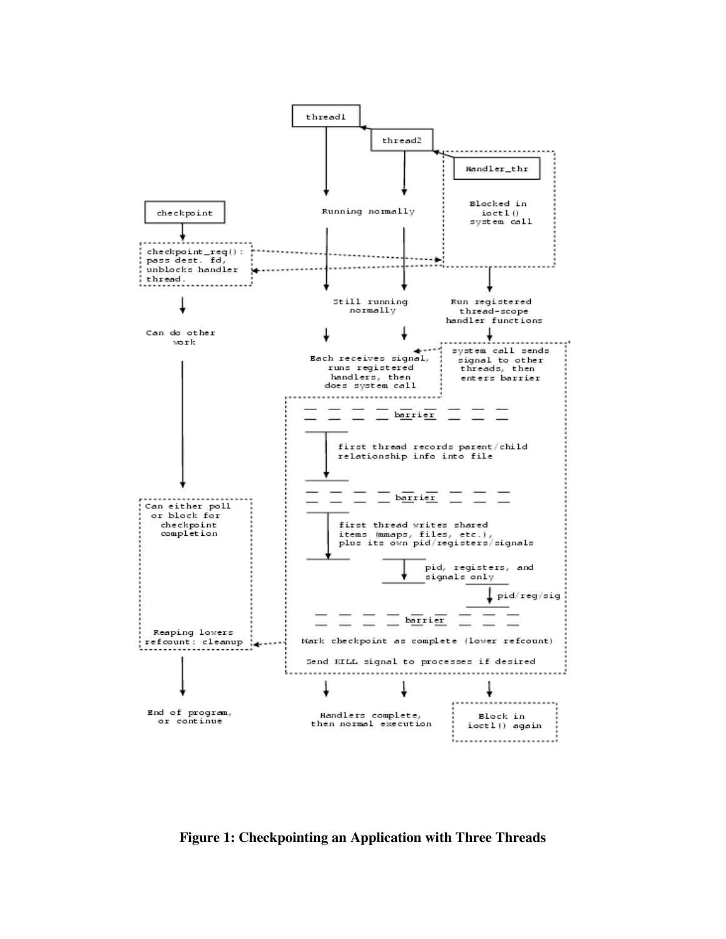

**Figure 1: Checkpointing an Application with Three Threads**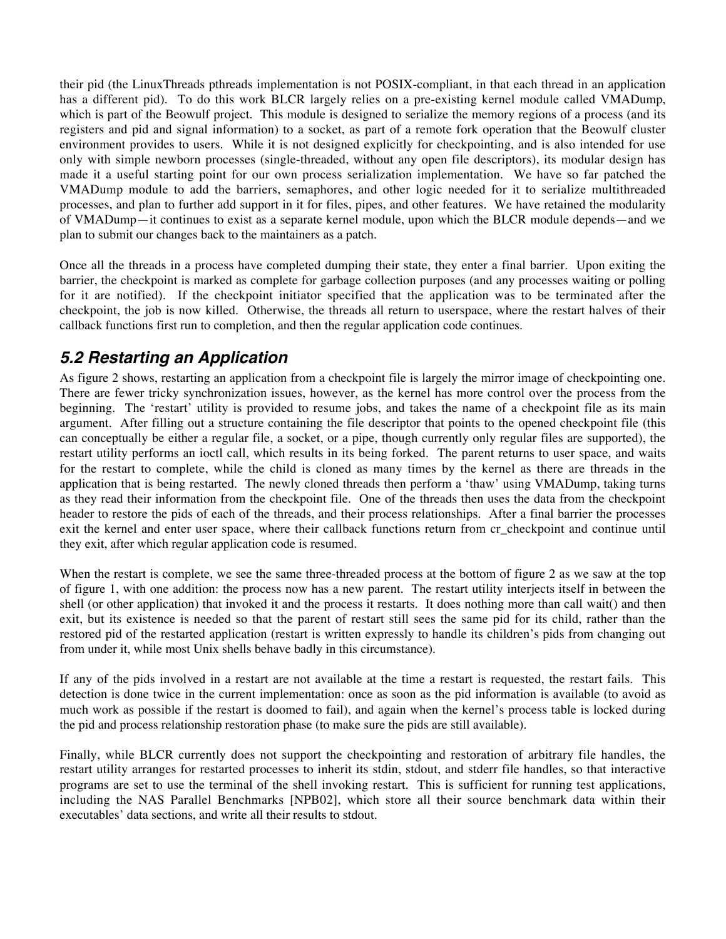their pid (the LinuxThreads pthreads implementation is not POSIX-compliant, in that each thread in an application has a different pid). To do this work BLCR largely relies on a pre-existing kernel module called VMADump, which is part of the Beowulf project. This module is designed to serialize the memory regions of a process (and its registers and pid and signal information) to a socket, as part of a remote fork operation that the Beowulf cluster environment provides to users. While it is not designed explicitly for checkpointing, and is also intended for use only with simple newborn processes (single-threaded, without any open file descriptors), its modular design has made it a useful starting point for our own process serialization implementation. We have so far patched the VMADump module to add the barriers, semaphores, and other logic needed for it to serialize multithreaded processes, and plan to further add support in it for files, pipes, and other features. We have retained the modularity of VMADump—it continues to exist as a separate kernel module, upon which the BLCR module depends—and we plan to submit our changes back to the maintainers as a patch.

Once all the threads in a process have completed dumping their state, they enter a final barrier. Upon exiting the barrier, the checkpoint is marked as complete for garbage collection purposes (and any processes waiting or polling for it are notified). If the checkpoint initiator specified that the application was to be terminated after the checkpoint, the job is now killed. Otherwise, the threads all return to userspace, where the restart halves of their callback functions first run to completion, and then the regular application code continues.

### **5.2 Restarting an Application**

As figure 2 shows, restarting an application from a checkpoint file is largely the mirror image of checkpointing one. There are fewer tricky synchronization issues, however, as the kernel has more control over the process from the beginning. The 'restart' utility is provided to resume jobs, and takes the name of a checkpoint file as its main argument. After filling out a structure containing the file descriptor that points to the opened checkpoint file (this can conceptually be either a regular file, a socket, or a pipe, though currently only regular files are supported), the restart utility performs an ioctl call, which results in its being forked. The parent returns to user space, and waits for the restart to complete, while the child is cloned as many times by the kernel as there are threads in the application that is being restarted. The newly cloned threads then perform a 'thaw' using VMADump, taking turns as they read their information from the checkpoint file. One of the threads then uses the data from the checkpoint header to restore the pids of each of the threads, and their process relationships. After a final barrier the processes exit the kernel and enter user space, where their callback functions return from cr\_checkpoint and continue until they exit, after which regular application code is resumed.

When the restart is complete, we see the same three-threaded process at the bottom of figure 2 as we saw at the top of figure 1, with one addition: the process now has a new parent. The restart utility interjects itself in between the shell (or other application) that invoked it and the process it restarts. It does nothing more than call wait() and then exit, but its existence is needed so that the parent of restart still sees the same pid for its child, rather than the restored pid of the restarted application (restart is written expressly to handle its children's pids from changing out from under it, while most Unix shells behave badly in this circumstance).

If any of the pids involved in a restart are not available at the time a restart is requested, the restart fails. This detection is done twice in the current implementation: once as soon as the pid information is available (to avoid as much work as possible if the restart is doomed to fail), and again when the kernel's process table is locked during the pid and process relationship restoration phase (to make sure the pids are still available).

Finally, while BLCR currently does not support the checkpointing and restoration of arbitrary file handles, the restart utility arranges for restarted processes to inherit its stdin, stdout, and stderr file handles, so that interactive programs are set to use the terminal of the shell invoking restart. This is sufficient for running test applications, including the NAS Parallel Benchmarks [NPB02], which store all their source benchmark data within their executables' data sections, and write all their results to stdout.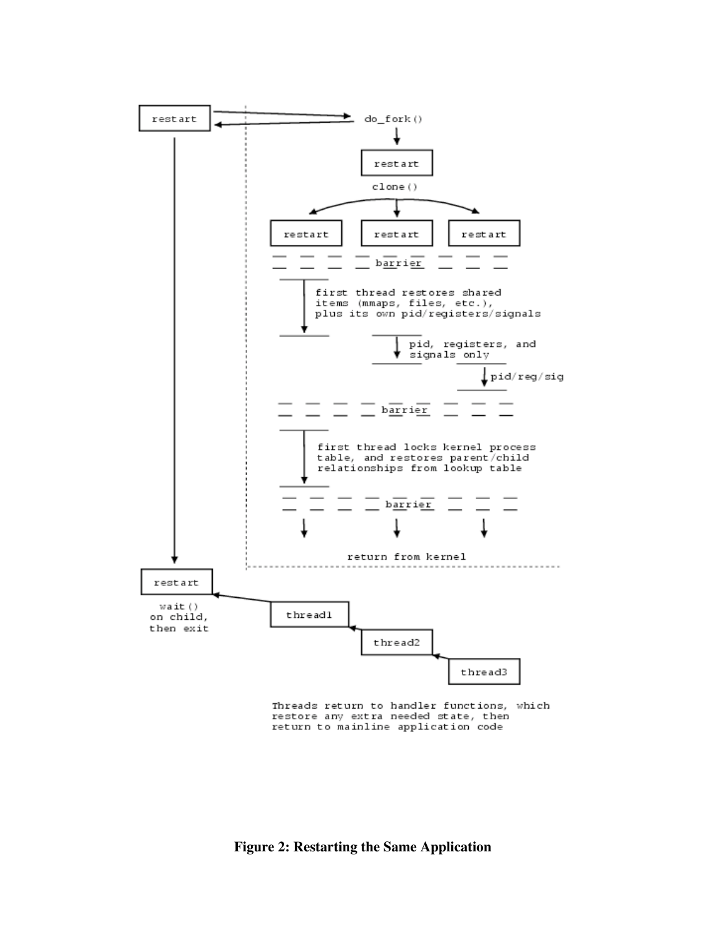

Threads return to handler functions, which restore any extra needed state, then return to mainline application code

**Figure 2: Restarting the Same Application**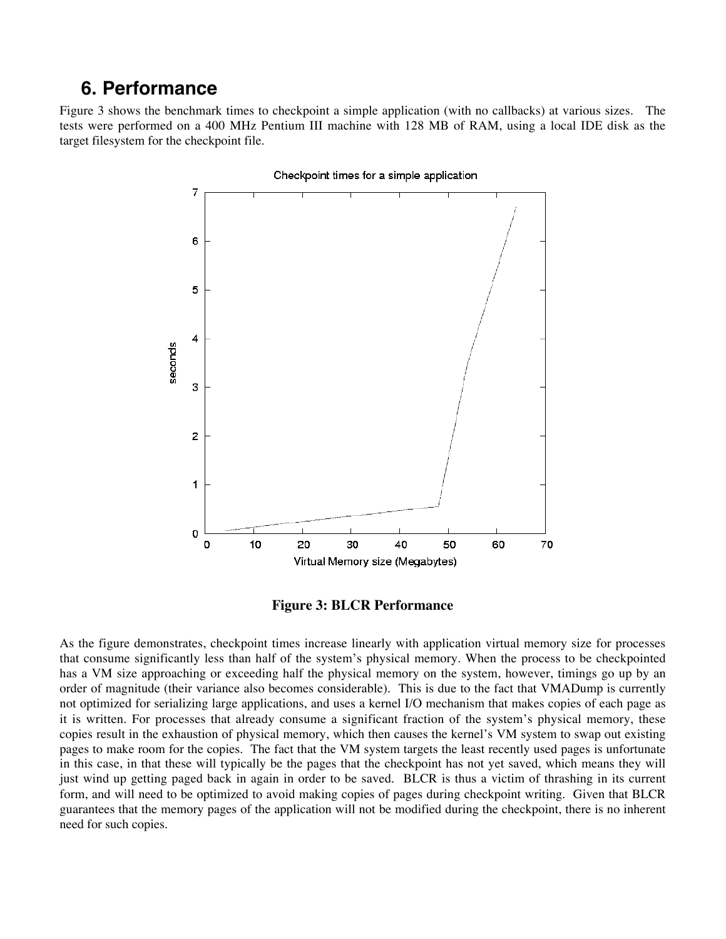### **6. Performance**

Figure 3 shows the benchmark times to checkpoint a simple application (with no callbacks) at various sizes. The tests were performed on a 400 MHz Pentium III machine with 128 MB of RAM, using a local IDE disk as the target filesystem for the checkpoint file.



Checkpoint times for a simple application

**Figure 3: BLCR Performance**

As the figure demonstrates, checkpoint times increase linearly with application virtual memory size for processes that consume significantly less than half of the system's physical memory. When the process to be checkpointed has a VM size approaching or exceeding half the physical memory on the system, however, timings go up by an order of magnitude (their variance also becomes considerable). This is due to the fact that VMADump is currently not optimized for serializing large applications, and uses a kernel I/O mechanism that makes copies of each page as it is written. For processes that already consume a significant fraction of the system's physical memory, these copies result in the exhaustion of physical memory, which then causes the kernel's VM system to swap out existing pages to make room for the copies. The fact that the VM system targets the least recently used pages is unfortunate in this case, in that these will typically be the pages that the checkpoint has not yet saved, which means they will just wind up getting paged back in again in order to be saved. BLCR is thus a victim of thrashing in its current form, and will need to be optimized to avoid making copies of pages during checkpoint writing. Given that BLCR guarantees that the memory pages of the application will not be modified during the checkpoint, there is no inherent need for such copies.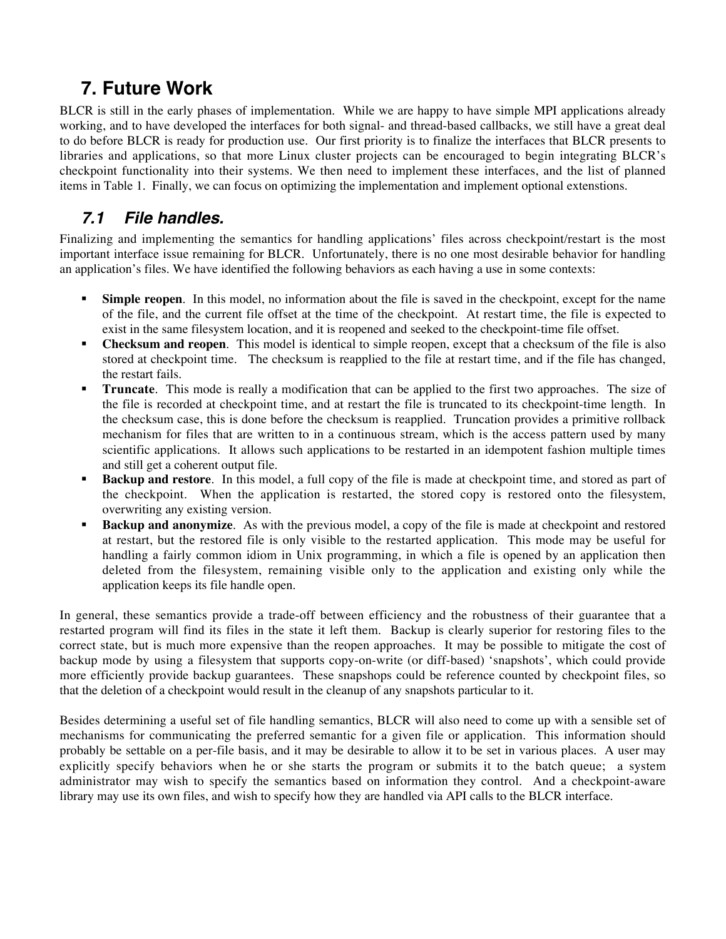# **7. Future Work**

BLCR is still in the early phases of implementation. While we are happy to have simple MPI applications already working, and to have developed the interfaces for both signal- and thread-based callbacks, we still have a great deal to do before BLCR is ready for production use. Our first priority is to finalize the interfaces that BLCR presents to libraries and applications, so that more Linux cluster projects can be encouraged to begin integrating BLCR's checkpoint functionality into their systems. We then need to implement these interfaces, and the list of planned items in Table 1. Finally, we can focus on optimizing the implementation and implement optional extenstions.

### **7.1 File handles.**

Finalizing and implementing the semantics for handling applications' files across checkpoint/restart is the most important interface issue remaining for BLCR. Unfortunately, there is no one most desirable behavior for handling an application's files. We have identified the following behaviors as each having a use in some contexts:

- **Simple reopen.** In this model, no information about the file is saved in the checkpoint, except for the name of the file, and the current file offset at the time of the checkpoint. At restart time, the file is expected to exist in the same filesystem location, and it is reopened and seeked to the checkpoint-time file offset.
- **Checksum and reopen**. This model is identical to simple reopen, except that a checksum of the file is also stored at checkpoint time. The checksum is reapplied to the file at restart time, and if the file has changed, the restart fails.
- **Truncate**. This mode is really a modification that can be applied to the first two approaches. The size of the file is recorded at checkpoint time, and at restart the file is truncated to its checkpoint-time length. In the checksum case, this is done before the checksum is reapplied. Truncation provides a primitive rollback mechanism for files that are written to in a continuous stream, which is the access pattern used by many scientific applications. It allows such applications to be restarted in an idempotent fashion multiple times and still get a coherent output file.
- **Backup and restore.** In this model, a full copy of the file is made at checkpoint time, and stored as part of the checkpoint. When the application is restarted, the stored copy is restored onto the filesystem, overwriting any existing version.
- ß **Backup and anonymize**. As with the previous model, a copy of the file is made at checkpoint and restored at restart, but the restored file is only visible to the restarted application. This mode may be useful for handling a fairly common idiom in Unix programming, in which a file is opened by an application then deleted from the filesystem, remaining visible only to the application and existing only while the application keeps its file handle open.

In general, these semantics provide a trade-off between efficiency and the robustness of their guarantee that a restarted program will find its files in the state it left them. Backup is clearly superior for restoring files to the correct state, but is much more expensive than the reopen approaches. It may be possible to mitigate the cost of backup mode by using a filesystem that supports copy-on-write (or diff-based) 'snapshots', which could provide more efficiently provide backup guarantees. These snapshops could be reference counted by checkpoint files, so that the deletion of a checkpoint would result in the cleanup of any snapshots particular to it.

Besides determining a useful set of file handling semantics, BLCR will also need to come up with a sensible set of mechanisms for communicating the preferred semantic for a given file or application. This information should probably be settable on a per-file basis, and it may be desirable to allow it to be set in various places. A user may explicitly specify behaviors when he or she starts the program or submits it to the batch queue; a system administrator may wish to specify the semantics based on information they control. And a checkpoint-aware library may use its own files, and wish to specify how they are handled via API calls to the BLCR interface.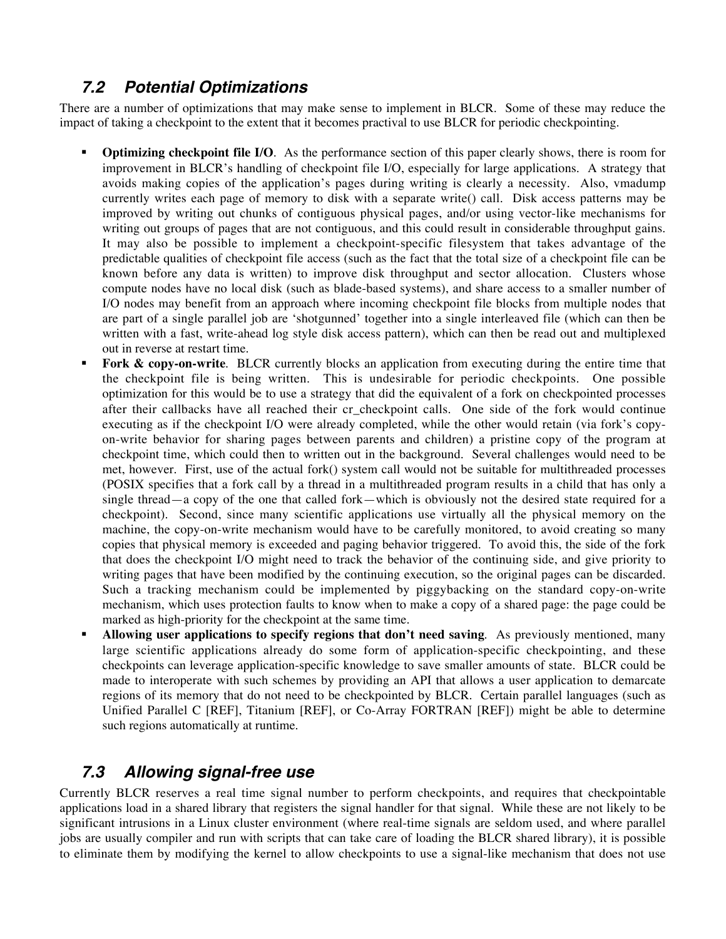### **7.2 Potential Optimizations**

There are a number of optimizations that may make sense to implement in BLCR. Some of these may reduce the impact of taking a checkpoint to the extent that it becomes practival to use BLCR for periodic checkpointing.

- **Optimizing checkpoint file I/O.** As the performance section of this paper clearly shows, there is room for improvement in BLCR's handling of checkpoint file I/O, especially for large applications. A strategy that avoids making copies of the application's pages during writing is clearly a necessity. Also, vmadump currently writes each page of memory to disk with a separate write() call. Disk access patterns may be improved by writing out chunks of contiguous physical pages, and/or using vector-like mechanisms for writing out groups of pages that are not contiguous, and this could result in considerable throughput gains. It may also be possible to implement a checkpoint-specific filesystem that takes advantage of the predictable qualities of checkpoint file access (such as the fact that the total size of a checkpoint file can be known before any data is written) to improve disk throughput and sector allocation. Clusters whose compute nodes have no local disk (such as blade-based systems), and share access to a smaller number of I/O nodes may benefit from an approach where incoming checkpoint file blocks from multiple nodes that are part of a single parallel job are 'shotgunned' together into a single interleaved file (which can then be written with a fast, write-ahead log style disk access pattern), which can then be read out and multiplexed out in reverse at restart time.
- **Fork & copy-on-write.** BLCR currently blocks an application from executing during the entire time that the checkpoint file is being written. This is undesirable for periodic checkpoints. One possible optimization for this would be to use a strategy that did the equivalent of a fork on checkpointed processes after their callbacks have all reached their cr\_checkpoint calls. One side of the fork would continue executing as if the checkpoint I/O were already completed, while the other would retain (via fork's copyon-write behavior for sharing pages between parents and children) a pristine copy of the program at checkpoint time, which could then to written out in the background. Several challenges would need to be met, however. First, use of the actual fork() system call would not be suitable for multithreaded processes (POSIX specifies that a fork call by a thread in a multithreaded program results in a child that has only a single thread—a copy of the one that called fork—which is obviously not the desired state required for a checkpoint). Second, since many scientific applications use virtually all the physical memory on the machine, the copy-on-write mechanism would have to be carefully monitored, to avoid creating so many copies that physical memory is exceeded and paging behavior triggered. To avoid this, the side of the fork that does the checkpoint I/O might need to track the behavior of the continuing side, and give priority to writing pages that have been modified by the continuing execution, so the original pages can be discarded. Such a tracking mechanism could be implemented by piggybacking on the standard copy-on-write mechanism, which uses protection faults to know when to make a copy of a shared page: the page could be marked as high-priority for the checkpoint at the same time.
- ß **Allowing user applications to specify regions that don't need saving**. As previously mentioned, many large scientific applications already do some form of application-specific checkpointing, and these checkpoints can leverage application-specific knowledge to save smaller amounts of state. BLCR could be made to interoperate with such schemes by providing an API that allows a user application to demarcate regions of its memory that do not need to be checkpointed by BLCR. Certain parallel languages (such as Unified Parallel C [REF], Titanium [REF], or Co-Array FORTRAN [REF]) might be able to determine such regions automatically at runtime.

#### **7.3 Allowing signal-free use**

Currently BLCR reserves a real time signal number to perform checkpoints, and requires that checkpointable applications load in a shared library that registers the signal handler for that signal. While these are not likely to be significant intrusions in a Linux cluster environment (where real-time signals are seldom used, and where parallel jobs are usually compiler and run with scripts that can take care of loading the BLCR shared library), it is possible to eliminate them by modifying the kernel to allow checkpoints to use a signal-like mechanism that does not use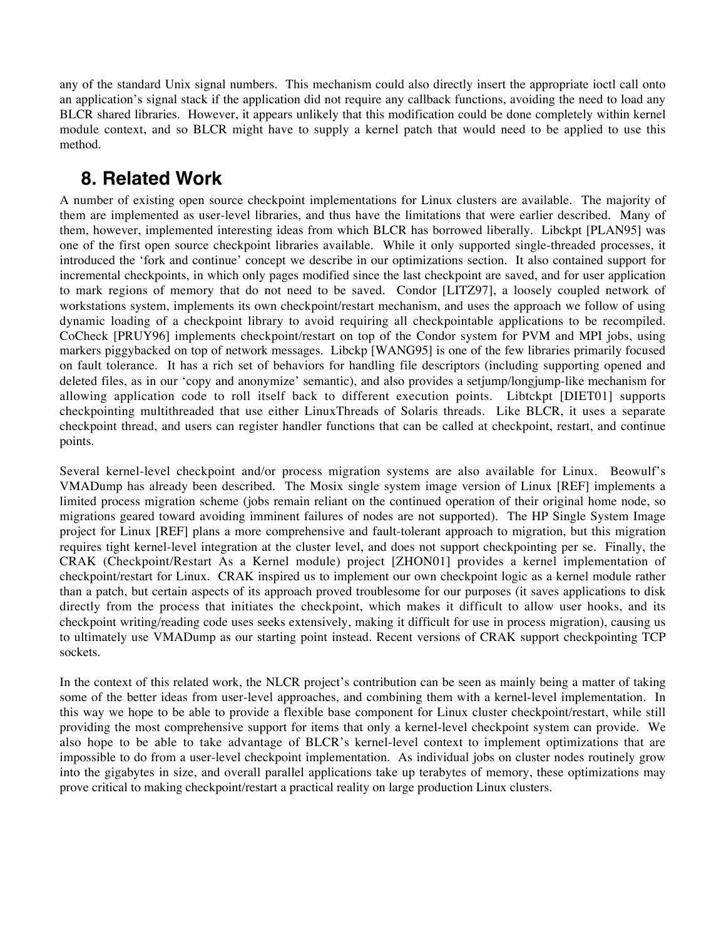any of the standard Unix signal numbers. This mechanism could also directly insert the appropriate ioctl call onto an application's signal stack if the application did not require any callback functions, avoiding the need to load any BLCR shared libraries. However, it appears unlikely that this modification could be done completely within kernel module context, and so BLCR might have to supply a kernel patch that would need to be applied to use this method.

# **8. Related Work**

A number of existing open source checkpoint implementations for Linux clusters are available. The majority of them are implemented as user-level libraries, and thus have the limitations that were earlier described. Many of them, however, implemented interesting ideas from which BLCR has borrowed liberally. Libckpt [PLAN95] was one of the first open source checkpoint libraries available. While it only supported single-threaded processes, it introduced the 'fork and continue' concept we describe in our optimizations section. It also contained support for incremental checkpoints, in which only pages modified since the last checkpoint are saved, and for user application to mark regions of memory that do not need to be saved. Condor [LITZ97], a loosely coupled network of workstations system, implements its own checkpoint/restart mechanism, and uses the approach we follow of using dynamic loading of a checkpoint library to avoid requiring all checkpointable applications to be recompiled. CoCheck [PRUY96] implements checkpoint/restart on top of the Condor system for PVM and MPI jobs, using markers piggybacked on top of network messages. Libckp [WANG95] is one of the few libraries primarily focused on fault tolerance. It has a rich set of behaviors for handling file descriptors (including supporting opened and deleted files, as in our 'copy and anonymize' semantic), and also provides a setjump/longjump-like mechanism for allowing application code to roll itself back to different execution points. Libtckpt [DIET01] supports checkpointing multithreaded that use either LinuxThreads of Solaris threads. Like BLCR, it uses a separate checkpoint thread, and users can register handler functions that can be called at checkpoint, restart, and continue points.

Several kernel-level checkpoint and/or process migration systems are also available for Linux. Beowulf's VMADump has already been described. The Mosix single system image version of Linux [REF] implements a limited process migration scheme (jobs remain reliant on the continued operation of their original home node, so migrations geared toward avoiding imminent failures of nodes are not supported). The HP Single System Image project for Linux [REF] plans a more comprehensive and fault-tolerant approach to migration, but this migration requires tight kernel-level integration at the cluster level, and does not support checkpointing per se. Finally, the CRAK (Checkpoint/Restart As a Kernel module) project [ZHON01] provides a kernel implementation of checkpoint/restart for Linux. CRAK inspired us to implement our own checkpoint logic as a kernel module rather than a patch, but certain aspects of its approach proved troublesome for our purposes (it saves applications to disk directly from the process that initiates the checkpoint, which makes it difficult to allow user hooks, and its checkpoint writing/reading code uses seeks extensively, making it difficult for use in process migration), causing us to ultimately use VMADump as our starting point instead. Recent versions of CRAK support checkpointing TCP sockets.

In the context of this related work, the NLCR project's contribution can be seen as mainly being a matter of taking some of the better ideas from user-level approaches, and combining them with a kernel-level implementation. In this way we hope to be able to provide a flexible base component for Linux cluster checkpoint/restart, while still providing the most comprehensive support for items that only a kernel-level checkpoint system can provide. We also hope to be able to take advantage of BLCR's kernel-level context to implement optimizations that are impossible to do from a user-level checkpoint implementation. As individual jobs on cluster nodes routinely grow into the gigabytes in size, and overall parallel applications take up terabytes of memory, these optimizations may prove critical to making checkpoint/restart a practical reality on large production Linux clusters.